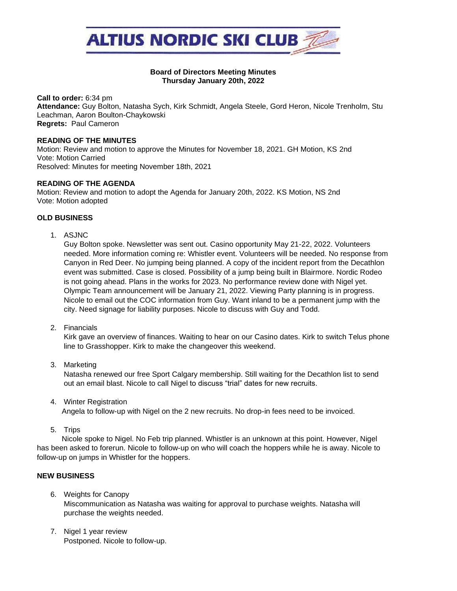

### **Board of Directors Meeting Minutes Thursday January 20th, 2022**

**Call to order:** 6:34 pm **Attendance:** Guy Bolton, Natasha Sych, Kirk Schmidt, Angela Steele, Gord Heron, Nicole Trenholm, Stu Leachman, Aaron Boulton-Chaykowski **Regrets:** Paul Cameron

#### **READING OF THE MINUTES**

Motion: Review and motion to approve the Minutes for November 18, 2021. GH Motion, KS 2nd Vote: Motion Carried Resolved: Minutes for meeting November 18th, 2021

### **READING OF THE AGENDA**

Motion: Review and motion to adopt the Agenda for January 20th, 2022. KS Motion, NS 2nd Vote: Motion adopted

# **OLD BUSINESS**

1. ASJNC

Guy Bolton spoke. Newsletter was sent out. Casino opportunity May 21-22, 2022. Volunteers needed. More information coming re: Whistler event. Volunteers will be needed. No response from Canyon in Red Deer. No jumping being planned. A copy of the incident report from the Decathlon event was submitted. Case is closed. Possibility of a jump being built in Blairmore. Nordic Rodeo is not going ahead. Plans in the works for 2023. No performance review done with Nigel yet. Olympic Team announcement will be January 21, 2022. Viewing Party planning is in progress. Nicole to email out the COC information from Guy. Want inland to be a permanent jump with the city. Need signage for liability purposes. Nicole to discuss with Guy and Todd.

2. Financials

Kirk gave an overview of finances. Waiting to hear on our Casino dates. Kirk to switch Telus phone line to Grasshopper. Kirk to make the changeover this weekend.

3. Marketing

Natasha renewed our free Sport Calgary membership. Still waiting for the Decathlon list to send out an email blast. Nicole to call Nigel to discuss "trial" dates for new recruits.

4. Winter Registration

Angela to follow-up with Nigel on the 2 new recruits. No drop-in fees need to be invoiced.

5. Trips

 Nicole spoke to Nigel. No Feb trip planned. Whistler is an unknown at this point. However, Nigel has been asked to forerun. Nicole to follow-up on who will coach the hoppers while he is away. Nicole to follow-up on jumps in Whistler for the hoppers.

# **NEW BUSINESS**

- 6. Weights for Canopy Miscommunication as Natasha was waiting for approval to purchase weights. Natasha will purchase the weights needed.
- 7. Nigel 1 year review Postponed. Nicole to follow-up.